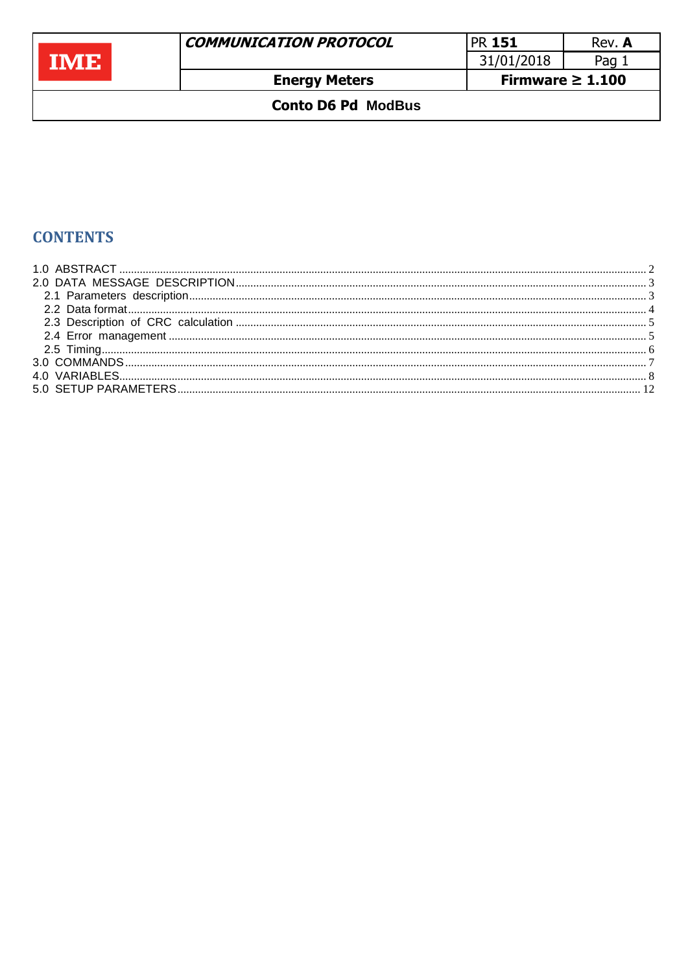|               | <b>COMMUNICATION PROTOCOL</b> | <b>PR 151</b>         | Rev. A |
|---------------|-------------------------------|-----------------------|--------|
| <b>TIVIEL</b> |                               | 31/01/2018            | Pag 1  |
|               | <b>Energy Meters</b>          | Firmware $\geq 1.100$ |        |
|               | <b>Conto D6 Pd ModBus</b>     |                       |        |

# **CONTENTS**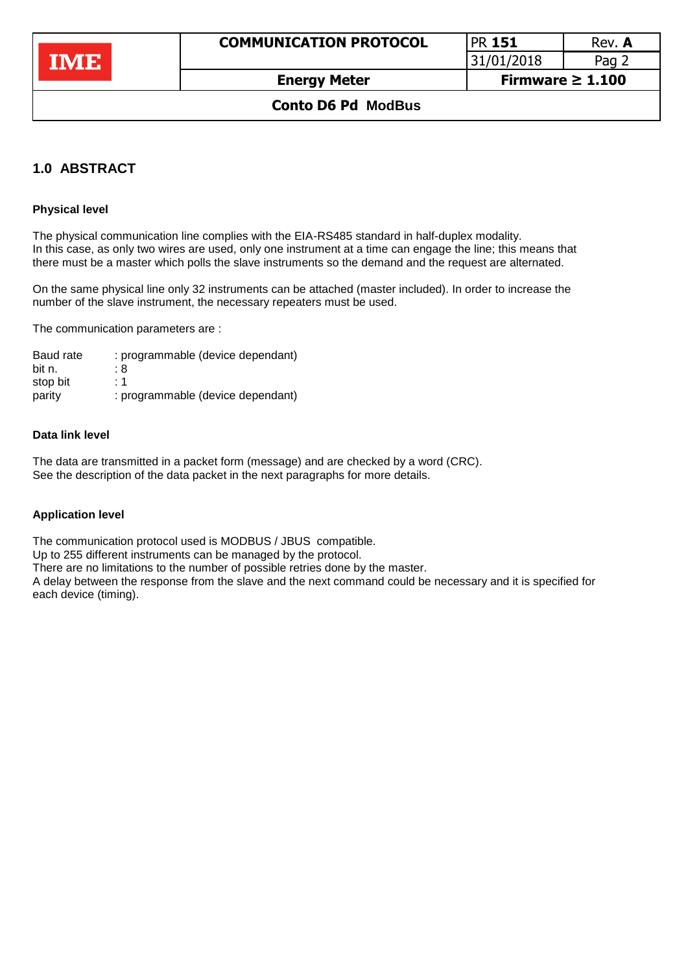| PR 151          | Rev. A |
|-----------------|--------|
| 31/01/2018      | Pag 2  |
| Firmwara > 1100 |        |

### **Conto D6 Pd ModBus**

## <span id="page-1-0"></span>**1.0 ABSTRACT**

#### **Physical level**

The physical communication line complies with the EIA-RS485 standard in half-duplex modality. In this case, as only two wires are used, only one instrument at a time can engage the line; this means that there must be a master which polls the slave instruments so the demand and the request are alternated.

On the same physical line only 32 instruments can be attached (master included). In order to increase the number of the slave instrument, the necessary repeaters must be used.

The communication parameters are :

Baud rate : programmable (device dependant) bit n. 28 stop bit : 1 parity : programmable (device dependant)

#### **Data link level**

The data are transmitted in a packet form (message) and are checked by a word (CRC). See the description of the data packet in the next paragraphs for more details.

#### **Application level**

The communication protocol used is MODBUS / JBUS compatible.

Up to 255 different instruments can be managed by the protocol.

There are no limitations to the number of possible retries done by the master.

A delay between the response from the slave and the next command could be necessary and it is specified for each device (timing).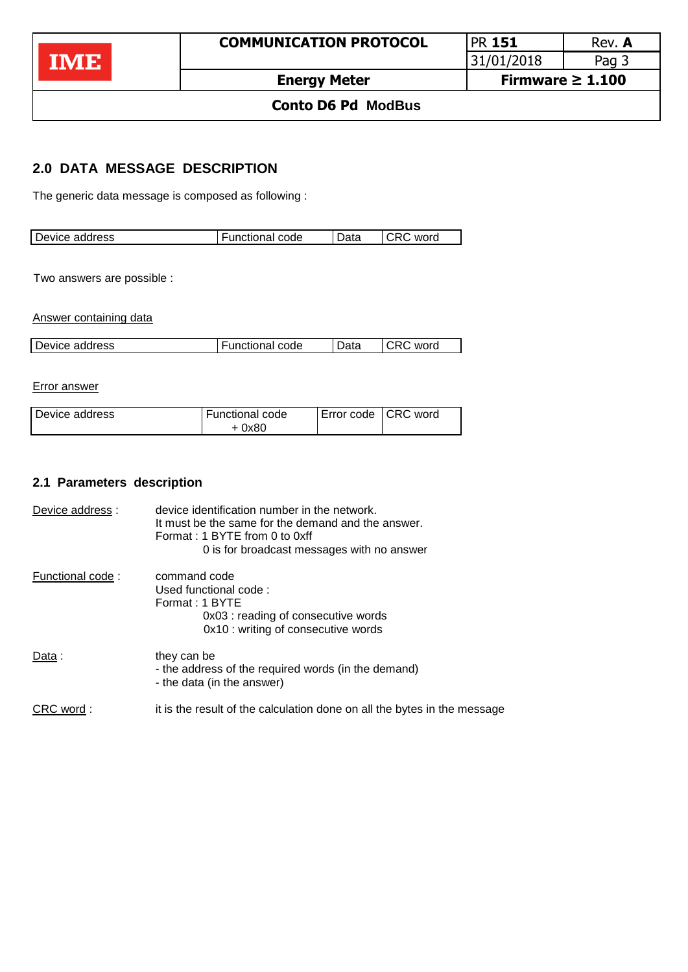

## **Conto D6 Pd ModBus**

## <span id="page-2-0"></span>**2.0 DATA MESSAGE DESCRIPTION**

The generic data message is composed as following :

| Device address | unctional code | م+ ہ ۱<br>Dala | word |
|----------------|----------------|----------------|------|
|                |                |                |      |

Two answers are possible :

Answer containing data

| Device address | <b>Functional code</b> | Data | <b>CRC</b><br>word |
|----------------|------------------------|------|--------------------|

Error answer

| I Device address | Functional code |  | Error code CRC word |
|------------------|-----------------|--|---------------------|
|                  | + 0x80          |  |                     |

## <span id="page-2-1"></span>**2.1 Parameters description**

| Device address : | device identification number in the network.<br>It must be the same for the demand and the answer.<br>Format: 1 BYTE from 0 to 0xff<br>0 is for broadcast messages with no answer |
|------------------|-----------------------------------------------------------------------------------------------------------------------------------------------------------------------------------|
| Functional code: | command code<br>Used functional code:<br>Format: 1 BYTE<br>0x03 : reading of consecutive words<br>0x10 : writing of consecutive words                                             |
| Data :           | they can be<br>- the address of the required words (in the demand)<br>- the data (in the answer)                                                                                  |
| CRC word:        | it is the result of the calculation done on all the bytes in the message                                                                                                          |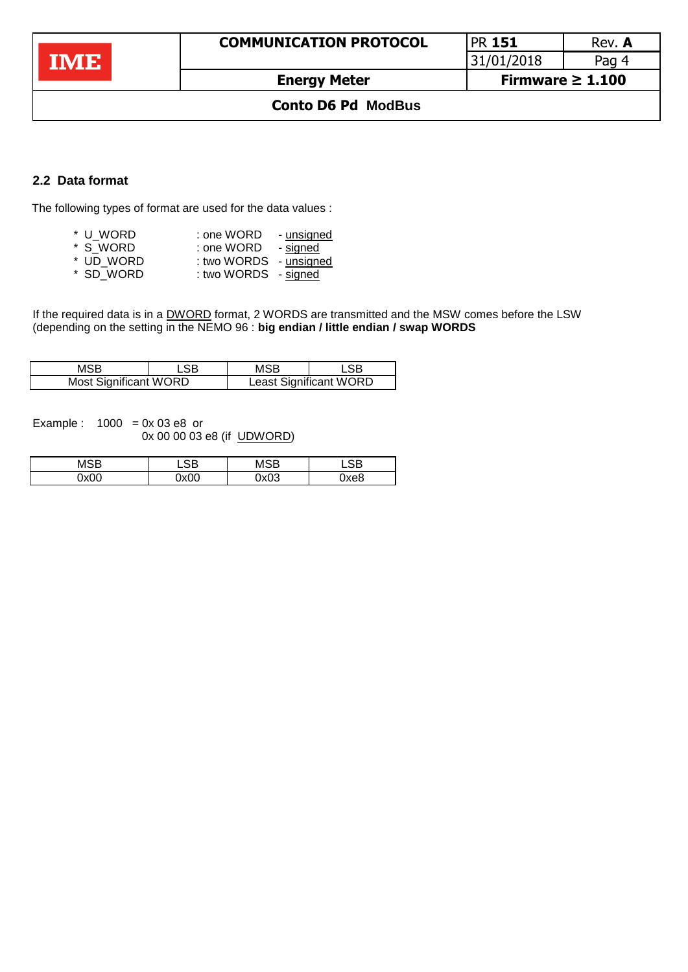|   | <b>COMMUNICATION PROTOCOL</b> | <b>PR 151</b>         | Rev. A |
|---|-------------------------------|-----------------------|--------|
| M |                               | 31/01/2018            | Pag 4  |
|   | <b>Energy Meter</b>           | Firmware $\geq 1.100$ |        |

## **Conto D6 Pd ModBus**

## <span id="page-3-0"></span>**2.2 Data format**

The following types of format are used for the data values :

| * U WORD                                         | : one WORD        | - unsigned    |
|--------------------------------------------------|-------------------|---------------|
| * S WORD                                         | : one WORD        | - signed      |
| $*$ $\blacksquare$ $\blacksquare$ $\blacksquare$ | $\ldots$ $\ldots$ | المصمر سأحمدن |

- \* UD\_WORD : two WORDS unsigned
- \* SD\_WORD : two WORDS signed

If the required data is in a **DWORD** format, 2 WORDS are transmitted and the MSW comes before the LSW (depending on the setting in the NEMO 96 : **big endian / little endian / swap WORDS** 

| MSB                          | ∟SB | MSB | LSB                           |
|------------------------------|-----|-----|-------------------------------|
| <b>Most Significant WORD</b> |     |     | <b>Least Significant WORD</b> |

Example :  $1000 = 0x 03 e8$  or 0x 00 00 03 e8 (if UDWORD)

| MSB  | .SB  | MSB  | .SB  |
|------|------|------|------|
| 0x00 | 0x00 | 0x03 | 0xe8 |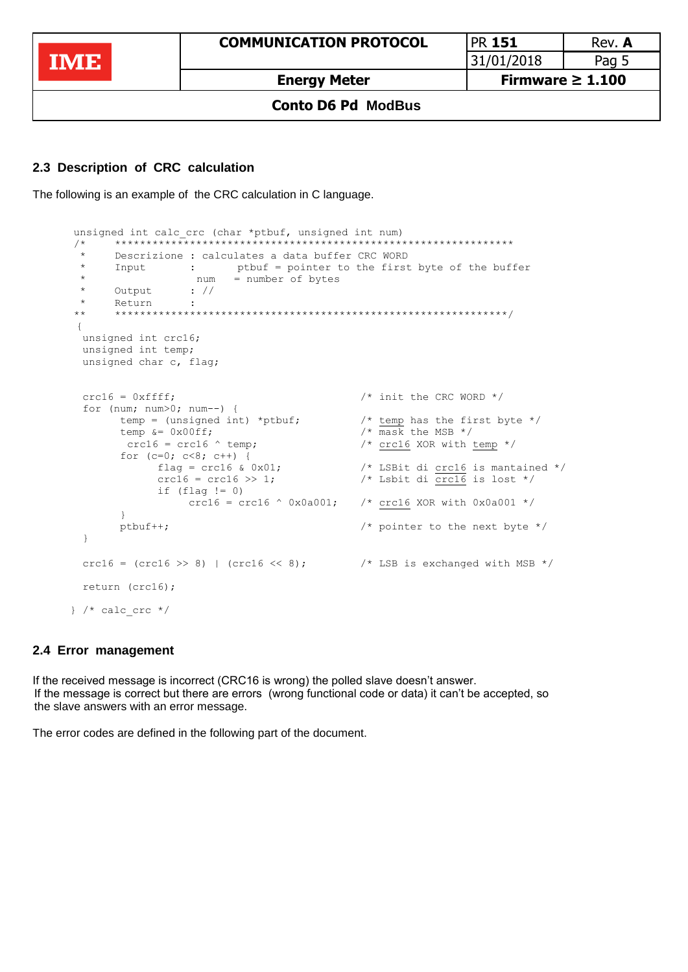**COMMUNICATION PROTOCOL** PR **151** Rev. **A IME** 31/01/2018 Pag 5 **Energy Meter Firmware ≥ 1.100**

#### **Conto D6 Pd ModBus**

### <span id="page-4-0"></span>**2.3 Description of CRC calculation**

The following is an example of the CRC calculation in C language.

```
unsigned int calc crc (char *ptbuf, unsigned int num)
      /* ****************************************************************
       * Descrizione : calculates a data buffer CRC WORD
       * Input : ptbuf = pointer to the first byte of the buffer
       * num = number of bytes 
       * Output : //
            Return ·
      ** ***************************************************************/
\overline{\mathcal{L}} unsigned int crc16;
        unsigned int temp;
        unsigned char c, flag;
       \text{crcl}6 = 0 \text{xfiff}; \frac{1}{2} /* init the CRC WORD */
        for (num; num>0; num--) {
             temp = (unsigned int) *ptbuf; /* temp has the first byte */
             temp \&= 0 \times 00 \text{ ff}; \frac{1}{\sqrt{100}} /* mask the MSB */
             crc16 = crc16 \text{ ~ temp}; /* crc16 XOR with temp */
             for (c=0; c<8; c++) {
                  flag = crc16 & 0x01; \qquad /* LSBit di crc16 is mantained */
                   crc16 = crc16 >> 1; \frac{1}{2} /* Lsbit di crc16 is lost */
                   if (flag != 0)<br>crc16 = crc16 \land 0x0a001;
                                                  /* crc16 XOR with 0 \times 0a001 */
 }
              ptbuf++; /* pointer to the next byte */
 } 
       crc16 = (\text{crc16} \gg 8) | (\text{crc16} \ll 8); \frac{\div \text{LSB}}{\div \text{LSB}} is exchanged with MSB \div return (crc16);
     } /* calc crc */
```
#### <span id="page-4-1"></span>**2.4 Error management**

If the received message is incorrect (CRC16 is wrong) the polled slave doesn't answer. If If the message is correct but there are errors (wrong functional code or data) it can't be accepted, so the slave answers with an error message.

The error codes are defined in the following part of the document.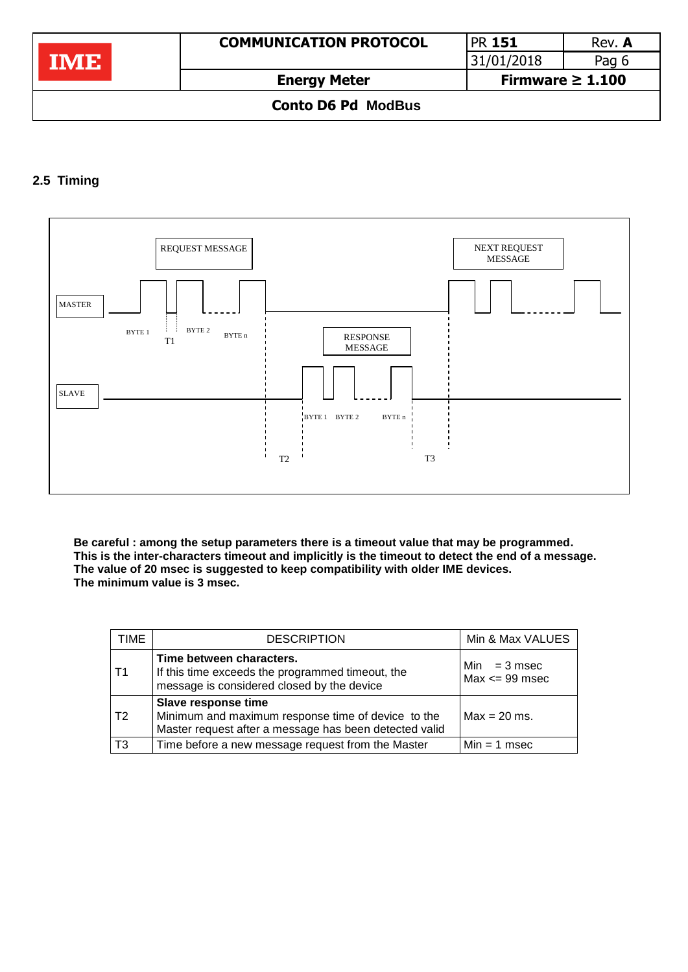|                           | <b>COMMUNICATION PROTOCOL</b> | <b>PR 151</b>         | Rev. A |
|---------------------------|-------------------------------|-----------------------|--------|
|                           |                               | 31/01/2018            | Pag 6  |
|                           | <b>Energy Meter</b>           | Firmware $\geq 1.100$ |        |
| <b>Conto D6 Pd ModBus</b> |                               |                       |        |

## <span id="page-5-0"></span>**2.5 Timing**



**Be careful : among the setup parameters there is a timeout value that may be programmed. This is the inter-characters timeout and implicitly is the timeout to detect the end of a message. The value of 20 msec is suggested to keep compatibility with older IME devices. The minimum value is 3 msec.**

| TIME | <b>DESCRIPTION</b>                                                                                                                  | Min & Max VALUES                     |
|------|-------------------------------------------------------------------------------------------------------------------------------------|--------------------------------------|
| Τ1   | Time between characters.<br>If this time exceeds the programmed timeout, the<br>message is considered closed by the device          | $Min = 3$ msec<br>$Max \leq 99$ msec |
| T2   | Slave response time<br>Minimum and maximum response time of device to the<br>Master request after a message has been detected valid | $Max = 20$ ms.                       |
| T3   | Time before a new message request from the Master                                                                                   | $Min = 1$ msec                       |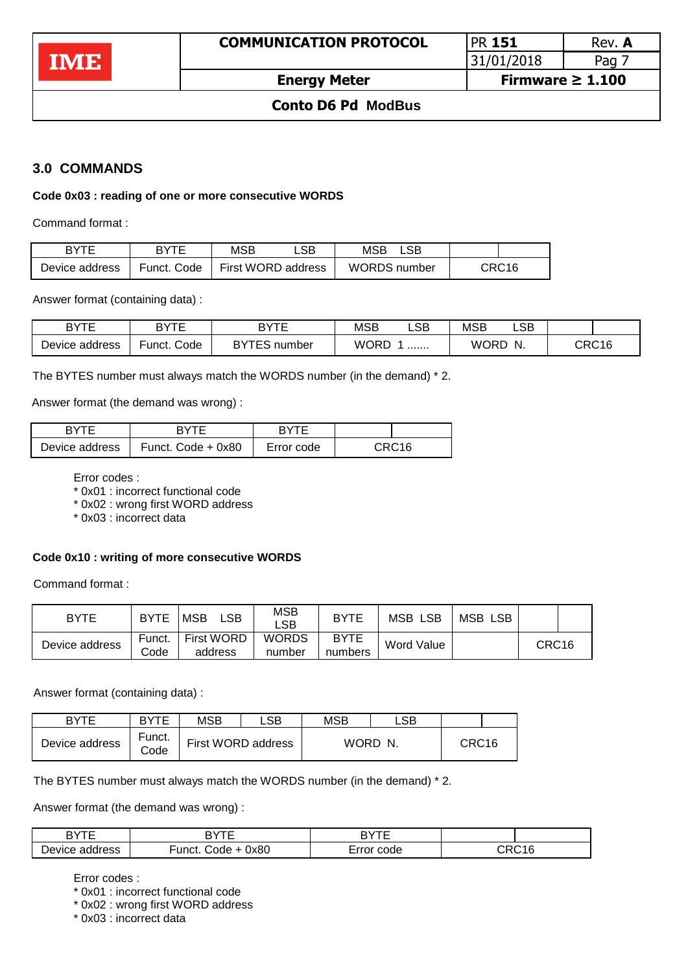### **Conto D6 Pd ModBus**

## <span id="page-6-0"></span>**3.0 COMMANDS**

**IME** 

#### **Code 0x03 : reading of one or more consecutive WORDS**

Command format :

| RYTF           | <b>RYTE</b> | <b>MSB</b> | _SB.               | MSB                 |  |       |
|----------------|-------------|------------|--------------------|---------------------|--|-------|
| Device address | Funct. Code |            | First WORD address | <b>WORDS</b> number |  | CRC16 |

Answer format (containing data) :

| <b>RVTE</b><br>י כו<br>- | חד⁄ים                                  | <b>DVTF</b><br>D | <b>MSB</b>  | ∟SB⊹ | <b>MSB</b>  | LSB |       |
|--------------------------|----------------------------------------|------------------|-------------|------|-------------|-----|-------|
| Device<br>address        | ∩ית<br>Code<br>unct.<br>number »<br>-- |                  | <b>WORD</b> |      | <b>WORD</b> | N.  | CRC16 |

The BYTES number must always match the WORDS number (in the demand) \* 2.

Answer format (the demand was wrong) :

| <b>RYTE</b>    | RYTF                 | <b>RYTE</b> |                   |
|----------------|----------------------|-------------|-------------------|
| Device address | Funct. Code $+$ 0x80 | Error code  | CRC <sub>16</sub> |

Error codes :

\* 0x01 : incorrect functional code

\* 0x02 : wrong first WORD address

\* 0x03 : incorrect data

#### **Code 0x10 : writing of more consecutive WORDS**

Command format :

| <b>BYTE</b>    | <b>BYTE</b>    | ∟SB<br>MSB                   | <b>MSB</b><br>_SB_     | <b>BYTE</b>            | <b>MSB LSB</b> | MSB<br><b>LSB</b> |                   |  |
|----------------|----------------|------------------------------|------------------------|------------------------|----------------|-------------------|-------------------|--|
| Device address | Funct.<br>Code | <b>First WORD</b><br>address | <b>WORDS</b><br>number | <b>BYTE</b><br>numbers | Word Value     |                   | CRC <sub>16</sub> |  |

Answer format (containing data) :

| <b>RYTE</b>    | <b>RYTE</b>    | MSB | ∟SB⊹               | <b>MSB</b> | ∟SB     |                   |  |
|----------------|----------------|-----|--------------------|------------|---------|-------------------|--|
| Device address | Funct.<br>Code |     | First WORD address |            | WORD N. | CRC <sub>16</sub> |  |

The BYTES number must always match the WORDS number (in the demand) \* 2.

Answer format (the demand was wrong) :

| חד⁄ים<br>⊃             | ----<br>ㄱ\.           | חד/ת           |                                        |
|------------------------|-----------------------|----------------|----------------------------------------|
| ⌒<br>address<br>Device | 0x80<br>unct<br>- ode | -<br>rror code | $\overline{\phantom{a}}$<br>١n.<br>1 t |

Error codes :

\* 0x01 : incorrect functional code

\* 0x02 : wrong first WORD address

\* 0x03 : incorrect data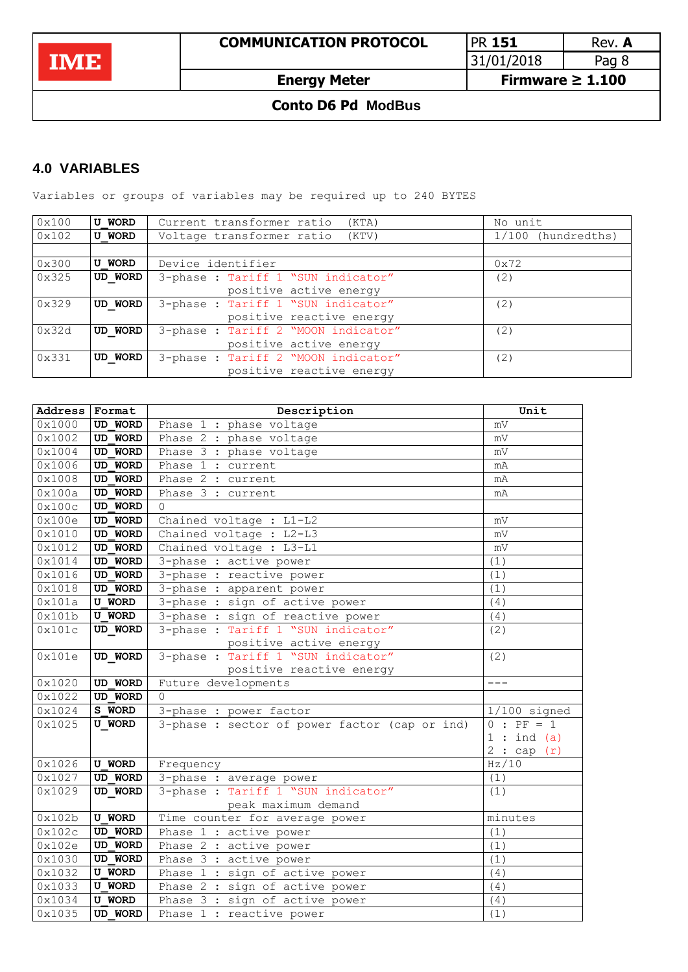**IME** 

31/01/2018 Pag 8

**Energy Meter Firmware ≥ 1.100**

## **Conto D6 Pd ModBus**

## <span id="page-7-0"></span>**4.0 VARIABLES**

Variables or groups of variables may be required up to 240 BYTES

| 0x100 | <b>U WORD</b> | Current transformer ratio<br>(KTA)  | No unit            |
|-------|---------------|-------------------------------------|--------------------|
| 0x102 | <b>U WORD</b> | Voltage transformer ratio<br>(KTV)  | 1/100 (hundredths) |
|       |               |                                     |                    |
| 0x300 | <b>U WORD</b> | Device identifier                   | 0x72               |
| 0x325 | UD WORD       | 3-phase : Tariff 1 "SUN indicator"  | (2)                |
|       |               | positive active energy              |                    |
| 0x329 | UD WORD       | 3-phase : Tariff 1 "SUN indicator"  | (2)                |
|       |               | positive reactive energy            |                    |
| 0x32d | UD WORD       | 3-phase : Tariff 2 "MOON indicator" | (2)                |
|       |               | positive active energy              |                    |
| 0x331 | UD WORD       | 3-phase : Tariff 2 "MOON indicator" | (2)                |
|       |               | positive reactive energy            |                    |

| <b>Address</b>   | Format                           | Description                                                   | Unit           |
|------------------|----------------------------------|---------------------------------------------------------------|----------------|
| 0x1000           | <b>UD WORD</b>                   | Phase 1 : phase voltage                                       | mV             |
| 0x1002           | <b>UD WORD</b>                   | Phase 2 : phase voltage                                       | mV             |
| 0x1004           | <b>UD WORD</b>                   | Phase 3 : phase voltage                                       | mV             |
| 0x1006           | <b>UD WORD</b>                   | Phase 1 : current                                             | mA             |
| 0x1008           | <b>UD WORD</b>                   | Phase 2 : current                                             | mA             |
| 0x100a           | <b>UD WORD</b>                   | Phase 3 : current                                             | mA             |
| 0x100c           | <b>UD WORD</b>                   | $\Omega$                                                      |                |
| 0x100e           | <b>UD WORD</b>                   | Chained voltage : L1-L2                                       | mV             |
| 0x1010           | <b>UD WORD</b>                   | Chained voltage : L2-L3                                       | mV             |
| 0x1012           | <b>UD WORD</b>                   | Chained voltage : L3-L1                                       | mV             |
| 0x1014           | <b>UD WORD</b>                   | 3-phase : active power                                        | (1)            |
| 0x1016           | <b>UD WORD</b>                   | 3-phase : reactive power                                      | (1)            |
| 0x1018           | <b>UD WORD</b>                   | 3-phase : apparent power                                      | (1)            |
| 0x101a           | <b>U WORD</b>                    | 3-phase : sign of active power                                | (4)            |
| 0x101b           | <b>U WORD</b>                    | 3-phase : sign of reactive power                              | (4)            |
| 0x101c           | UD WORD                          | 3-phase: Tariff 1 "SUN indicator"                             | (2)            |
|                  |                                  | positive active energy                                        |                |
| 0x101e           | UD WORD                          | 3-phase: Tariff 1 "SUN indicator"                             | (2)            |
|                  |                                  | positive reactive energy                                      |                |
| 0x1020           | <b>UD WORD</b>                   | Future developments                                           | $---$          |
| 0x1022           | <b>UD WORD</b>                   | $\cap$                                                        |                |
| 0x1024           | S WORD                           | 3-phase : power factor                                        | $1/100$ signed |
| 0x1025           | <b>U WORD</b>                    | 3-phase : sector of power factor (cap or ind)                 | $0 : PF = 1$   |
|                  |                                  |                                                               | 1:ind(a)       |
|                  | <b>U WORD</b>                    |                                                               | 2:cap(r)       |
| 0x1026           |                                  | Frequency                                                     | Hz/10          |
| 0x1027<br>0x1029 | <b>UD WORD</b><br><b>UD WORD</b> | 3-phase : average power<br>3-phase : Tariff 1 "SUN indicator" | (1)<br>(1)     |
|                  |                                  | peak maximum demand                                           |                |
| 0x102b           | <b>U WORD</b>                    | Time counter for average power                                | minutes        |
| 0x102c           | <b>UD WORD</b>                   | Phase 1 : active power                                        | (1)            |
| 0x102e           | <b>UD WORD</b>                   | Phase 2 : active power                                        | (1)            |
| 0x1030           | <b>UD WORD</b>                   | Phase 3 : active power                                        | (1)            |
| 0x1032           | <b>U WORD</b>                    | Phase 1 : sign of active power                                | (4)            |
| 0x1033           | <b>U WORD</b>                    | Phase 2 : sign of active power                                | (4)            |
| 0x1034           | <b>U WORD</b>                    | Phase 3 : sign of active power                                | (4)            |
| 0x1035           | <b>UD WORD</b>                   | Phase 1 : reactive power                                      | (1)            |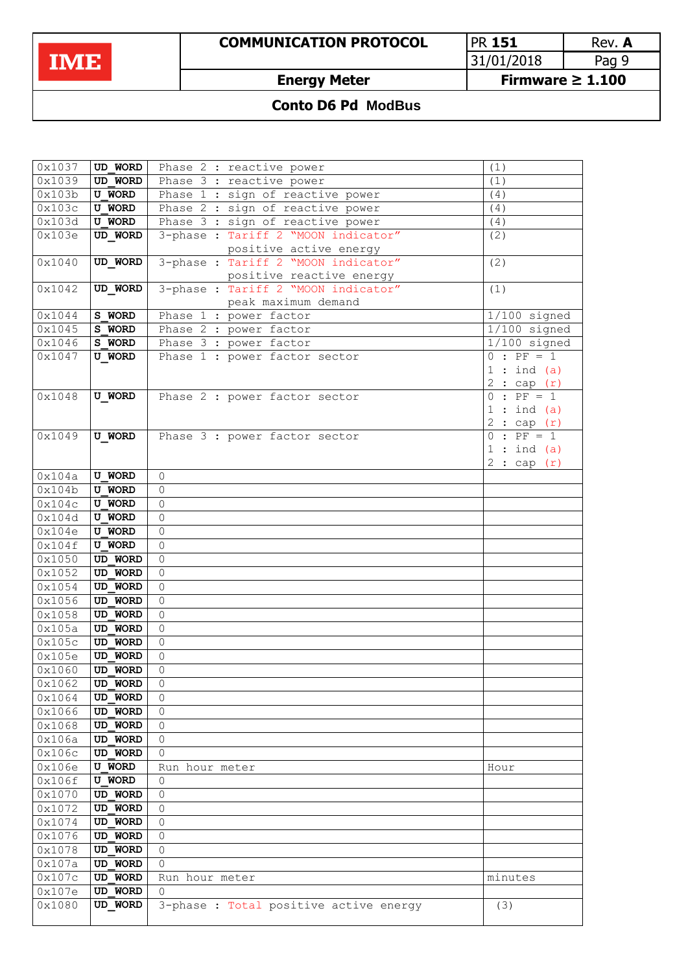**COMMUNICATION PROTOCOL** PR 151 Rev. A<br>31/01/2018 Pag 9  $31/01/2018$ 

**Energy Meter Firmware ≥ 1.100**

## **Conto D6 Pd ModBus**

| 0x1037               | UD WORD                          | Phase 2 : reactive power               | (1)                                   |
|----------------------|----------------------------------|----------------------------------------|---------------------------------------|
| $\overline{0x}$ 1039 | <b>UD WORD</b>                   | Phase 3 : reactive power               | (1)                                   |
| 0x103b               | <b>U WORD</b>                    | Phase 1 : sign of reactive power       | (4)                                   |
| 0x103c               | <b>U WORD</b>                    | Phase 2 : sign of reactive power       | (4)                                   |
| 0x103d               | <b>U WORD</b>                    | Phase 3 : sign of reactive power       | (4)                                   |
| 0x103e               | UD WORD                          | 3-phase: Tariff 2 "MOON indicator"     | (2)                                   |
|                      |                                  | positive active energy                 |                                       |
| 0x1040               | UD WORD                          | 3-phase: Tariff 2 "MOON indicator"     | (2)                                   |
|                      |                                  | positive reactive energy               |                                       |
| 0x1042               | UD WORD                          | 3-phase: Tariff 2 "MOON indicator"     | (1)                                   |
|                      |                                  | peak maximum demand                    |                                       |
| 0x1044               | S WORD                           | Phase 1 : power factor                 | $1/100$ signed                        |
| 0x1045               | S WORD                           | Phase 2 : power factor                 | $1/100$ signed                        |
| 0x1046               | S WORD                           | Phase 3 : power factor                 | $1/100$ signed                        |
| 0x1047               | <b>U WORD</b>                    | Phase 1 : power factor sector          | $\overline{\cdot}$ PF = 1<br>$\Omega$ |
|                      |                                  |                                        | $:$ ind $(a)$<br>$\mathbf 1$          |
|                      |                                  |                                        | $\mathbf{2}$<br>: cap(r)              |
| 0x1048               | <b>U WORD</b>                    | Phase 2 : power factor sector          | $\Omega$<br>$: PF = 1$                |
|                      |                                  |                                        | $:$ ind $(a)$<br>$\mathbf 1$          |
|                      |                                  |                                        | : cap(r)<br>2                         |
| 0x1049               | <b>U WORD</b>                    | Phase 3 : power factor sector          | $: PF = 1$<br>$\Omega$                |
|                      |                                  |                                        | $\mathbf{1}$<br>$:$ ind $(a)$         |
|                      |                                  |                                        | 2:cap(r)                              |
| 0x104a               | <b>U WORD</b>                    | $\circ$                                |                                       |
| 0x104b               | <b>U WORD</b>                    | 0                                      |                                       |
| 0x104c               | <b>U WORD</b>                    | 0                                      |                                       |
| 0x104d               | <b>U WORD</b>                    | $\overline{0}$                         |                                       |
| 0x104e               | <b>U WORD</b>                    | $\overline{0}$                         |                                       |
| 0x104f               | <b>U WORD</b>                    | $\overline{0}$                         |                                       |
| 0x1050               | <b>UD WORD</b>                   | $\overline{0}$                         |                                       |
| 0x1052               | <b>UD WORD</b>                   | $\overline{0}$                         |                                       |
| 0x1054               | <b>UD WORD</b>                   | $\overline{0}$                         |                                       |
| 0x1056               | <b>UD WORD</b>                   | $\overline{0}$                         |                                       |
| 0x1058               | <b>UD WORD</b>                   | 0                                      |                                       |
| 0x105a               | <b>UD WORD</b>                   | $\overline{0}$                         |                                       |
| 0x105c               | <b>UD WORD</b>                   | $\overline{0}$                         |                                       |
| 0x105e               | <b>UD WORD</b><br><b>UD WORD</b> | $\Omega$                               |                                       |
| 0x1060               |                                  | 0                                      |                                       |
| 0x1062               | UD WORD                          | 0                                      |                                       |
| 0x1064               | UD WORD                          | 0                                      |                                       |
| 0x1066               | <b>UD WORD</b>                   | 0                                      |                                       |
| 0x1068               | <b>UD WORD</b>                   | 0                                      |                                       |
| 0x106a               | <b>UD WORD</b>                   | 0                                      |                                       |
| 0x106c               | <b>UD WORD</b>                   | 0                                      |                                       |
| 0x106e               | <b>U WORD</b>                    | Run hour meter                         | Hour                                  |
| 0x106f               | <b>U WORD</b>                    | 0                                      |                                       |
| 0x1070<br>0x1072     | <b>UD WORD</b>                   | 0                                      |                                       |
| 0x1074               | UD WORD                          | 0                                      |                                       |
|                      | UD WORD                          | 0                                      |                                       |
| 0x1076               | UD WORD                          | 0                                      |                                       |
| 0x1078               | UD WORD                          | 0                                      |                                       |
| 0x107a               | UD WORD                          | 0                                      |                                       |
| 0x107c               | UD WORD<br>UD WORD               | Run hour meter<br>0                    | minutes                               |
| 0x107e<br>0x1080     | UD WORD                          | 3-phase : Total positive active energy |                                       |
|                      |                                  |                                        | (3)                                   |
|                      |                                  |                                        |                                       |

IME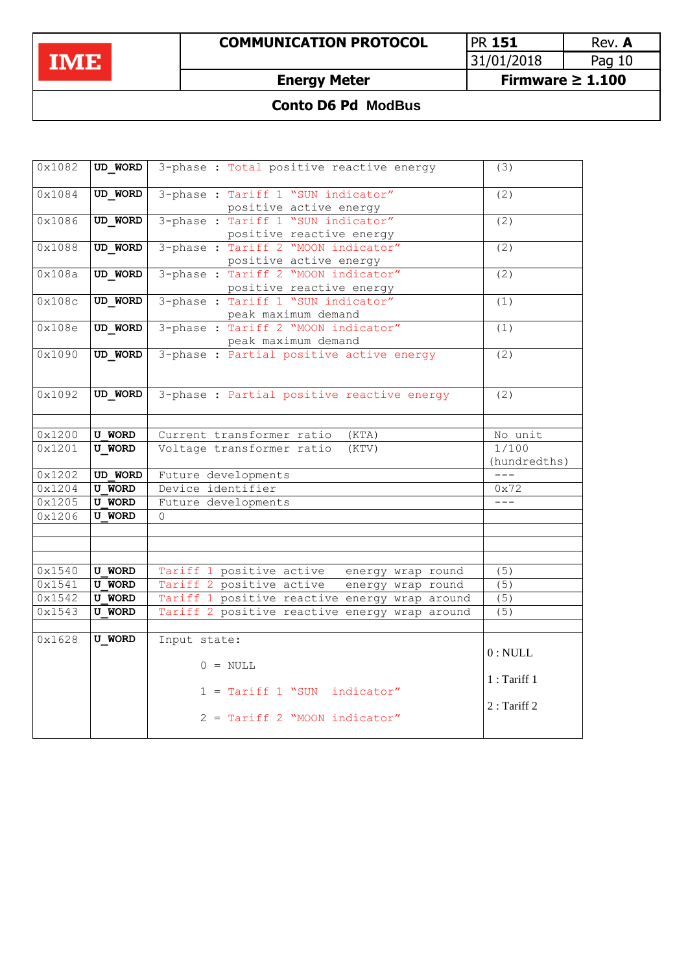IME

**COMMUNICATION PROTOCOL** PR 151 Rev. A<br>31/01/2018 Pag 10 31/01/2018

**Energy Meter Firmware ≥ 1.100**

# **Conto D6 Pd ModBus**

| 0x1082 | UD WORD        | 3-phase : Total positive reactive energy      | (3)           |
|--------|----------------|-----------------------------------------------|---------------|
| 0x1084 | <b>UD WORD</b> | 3-phase: Tariff 1 "SUN indicator"             | (2)           |
|        |                |                                               |               |
|        |                | positive active energy                        |               |
| 0x1086 | UD WORD        | 3-phase: Tariff 1 "SUN indicator"             | (2)           |
|        |                | positive reactive energy                      |               |
| 0x1088 | <b>UD WORD</b> | 3-phase: Tariff 2 "MOON indicator"            | (2)           |
|        |                | positive active energy                        |               |
| 0x108a | UD WORD        | 3-phase: Tariff 2 "MOON indicator"            | (2)           |
|        |                | positive reactive energy                      |               |
| 0x108c | <b>UD WORD</b> | 3-phase: Tariff 1 "SUN indicator"             | (1)           |
|        |                | peak maximum demand                           |               |
| 0x108e | UD WORD        | 3-phase : Tariff 2 "MOON indicator"           | (1)           |
|        |                | peak maximum demand                           |               |
| 0x1090 | UD WORD        | 3-phase : Partial positive active energy      | (2)           |
|        |                |                                               |               |
|        |                |                                               |               |
| 0x1092 | UD WORD        | 3-phase : Partial positive reactive energy    | (2)           |
|        |                |                                               |               |
|        |                |                                               |               |
| 0x1200 | <b>U WORD</b>  | Current transformer ratio<br>(KTA)            | No unit       |
| 0x1201 | <b>U WORD</b>  | Voltage transformer ratio<br>(KTV)            | 1/100         |
|        |                |                                               | (hundredths)  |
| 0x1202 | UD WORD        | Future developments                           | $- - -$       |
| 0x1204 | <b>U WORD</b>  | Device identifier                             | 0x72          |
| 0x1205 | <b>U WORD</b>  | Future developments                           | $---$         |
| 0x1206 | <b>U WORD</b>  | $\Omega$                                      |               |
|        |                |                                               |               |
|        |                |                                               |               |
|        |                |                                               |               |
| 0x1540 | <b>U WORD</b>  | Tariff 1 positive active energy wrap round    | (5)           |
| 0x1541 | <b>U WORD</b>  | Tariff 2 positive active energy wrap round    | (5)           |
| 0x1542 | <b>U WORD</b>  | Tariff 1 positive reactive energy wrap around | (5)           |
| 0x1543 |                | Tariff 2 positive reactive energy wrap around |               |
|        | <b>U WORD</b>  |                                               | (5)           |
|        |                |                                               |               |
| 0x1628 | <b>U WORD</b>  | Input state:                                  |               |
|        |                |                                               | 0: NULL       |
|        |                | $0 = NULL$                                    |               |
|        |                |                                               | 1: Tariff 1   |
|        |                | $1 = \text{Tariff} 1$ "SUN indicator"         |               |
|        |                |                                               | $2:$ Tariff 2 |
|        |                | 2 = Tariff 2 "MOON indicator"                 |               |
|        |                |                                               |               |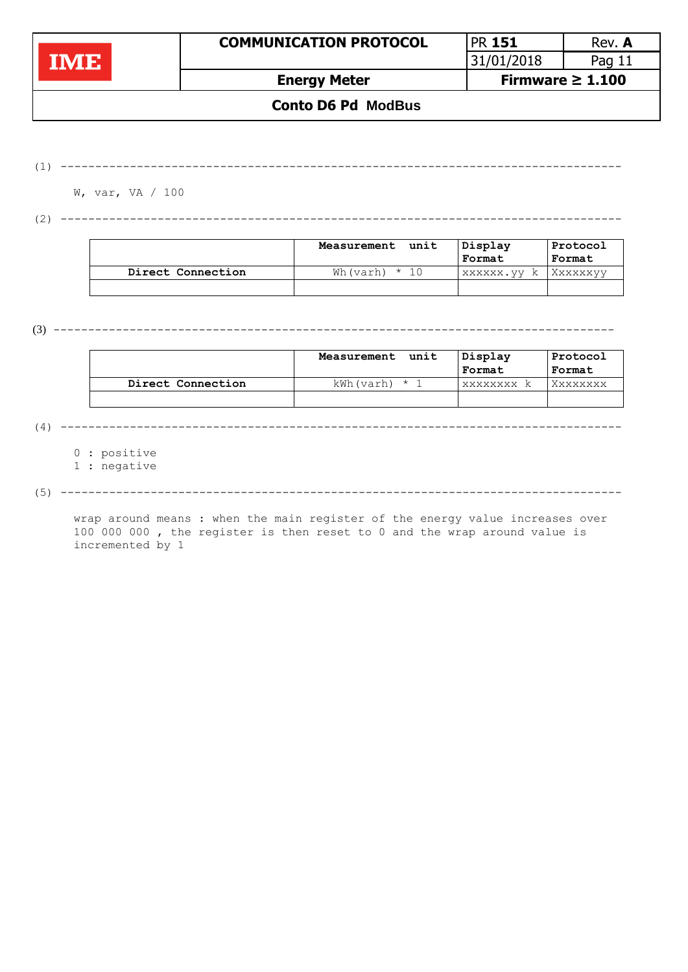|                           | <b>COMMUNICATION PROTOCOL</b> | <b>PR 151</b>         | Rev. A   |  |  |
|---------------------------|-------------------------------|-----------------------|----------|--|--|
| <b>TIVIEL</b>             |                               | 31/01/2018            | Pag $11$ |  |  |
|                           | <b>Energy Meter</b>           | Firmware $\geq 1.100$ |          |  |  |
| <b>Conto D6 Pd ModBus</b> |                               |                       |          |  |  |

(1) ---------------------------------------------------------------------------------

W, var, VA / 100

(2) ---------------------------------------------------------------------------------

|                   | unit<br>Measurement | Display<br>Format | Protocol<br>Format |
|-------------------|---------------------|-------------------|--------------------|
| Direct Connection | Wh(varh) $\star$ 10 | XXXXXX. VV<br>k.  | XXXXXXVV           |
|                   |                     |                   |                    |

(3) ---------------------------------------------------------------------------------

|                   | unit<br>Measurement | Displav         | Protocol |
|-------------------|---------------------|-----------------|----------|
|                   |                     | Format          | Format   |
| Direct Connection | kWh(varh) *         | <b>XXXXXXXX</b> |          |

(4) ---------------------------------------------------------------------------------

0 : positive

1 : negative

(5) ---------------------------------------------------------------------------------

wrap around means : when the main register of the energy value increases over 100 000 000 , the register is then reset to 0 and the wrap around value is incremented by 1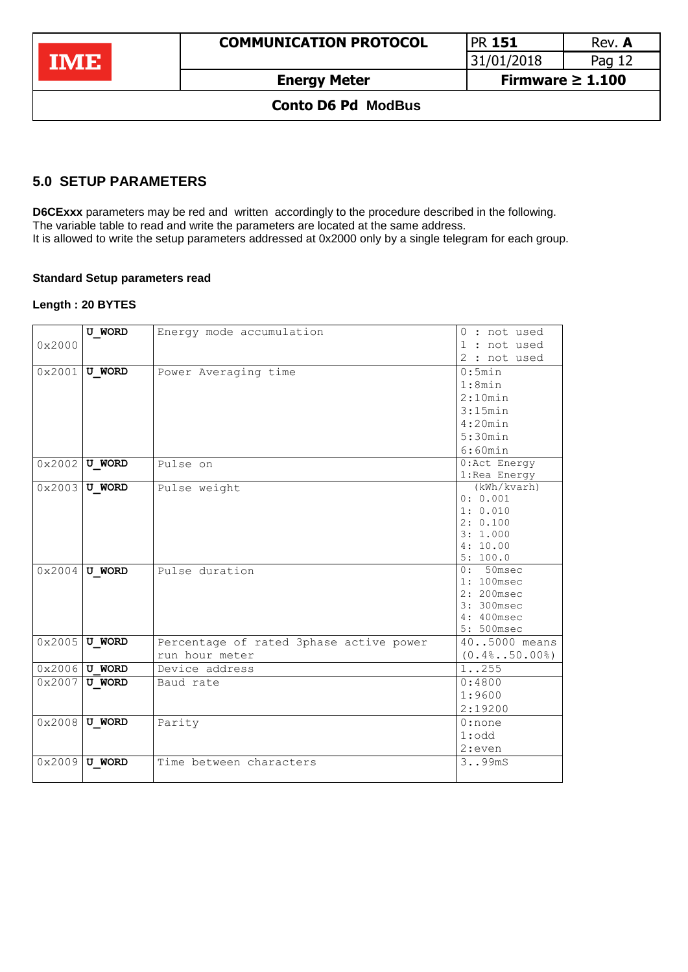| <b>TAVES</b>              | <b>COMMUNICATION PROTOCOL</b> | <b>PR 151</b>         | Rev. A |
|---------------------------|-------------------------------|-----------------------|--------|
|                           |                               | 31/01/2018            | Pag 12 |
|                           | <b>Energy Meter</b>           | Firmware $\geq 1.100$ |        |
| <b>Conto D6 Pd ModBus</b> |                               |                       |        |

## <span id="page-11-0"></span>**5.0 SETUP PARAMETERS**

**D6CExxx** parameters may be red and written accordingly to the procedure described in the following. The variable table to read and write the parameters are located at the same address. It is allowed to write the setup parameters addressed at 0x2000 only by a single telegram for each group.

### **Standard Setup parameters read**

#### **Length : 20 BYTES**

|        | <b>U WORD</b>          | Energy mode accumulation                | $0:$ not used        |
|--------|------------------------|-----------------------------------------|----------------------|
| 0x2000 |                        |                                         | 1 : not used         |
|        |                        |                                         | 2 : not used         |
|        | $0 \times 2001$ U WORD | Power Averaging time                    | 0:5min               |
|        |                        |                                         | 1:8min               |
|        |                        |                                         | 2:10min              |
|        |                        |                                         | 3:15min              |
|        |                        |                                         | 4:20min              |
|        |                        |                                         | 5:30min              |
|        |                        |                                         | 6:60min              |
|        | $0x2002$ U WORD        | Pulse on                                | $0:$ Act Energy      |
|        |                        |                                         | 1: Rea Energy        |
|        | $0x2003$ U WORD        | Pulse weight                            | (kWh/kvarh)          |
|        |                        |                                         | 0: 0.001             |
|        |                        |                                         | 1: 0.010             |
|        |                        |                                         | 2: 0.100<br>3:1.000  |
|        |                        |                                         | 4:10.00              |
|        |                        |                                         | 5:100.0              |
|        | $0x2004$ U WORD        | Pulse duration                          | $0:50$ msec          |
|        |                        |                                         | 1: 100msec           |
|        |                        |                                         | 2: 200msec           |
|        |                        |                                         | 3: 300msec           |
|        |                        |                                         | 4: 400msec           |
|        |                        |                                         | 5: 500msec           |
| 0x2005 | <b>U WORD</b>          | Percentage of rated 3phase active power | 405000 means         |
|        |                        | run hour meter                          | $(0.4\$ 50.00%)      |
|        | $0 \times 2006$ U WORD | Device address                          | 1. .255              |
|        | $0 \times 2007$ U WORD | Baud rate                               | 0:4800               |
|        |                        |                                         | 1:9600               |
|        |                        |                                         | 2:19200              |
|        | $0x2008$ U WORD        | Parity                                  | $0:$ none            |
|        |                        |                                         | $1:$ odd             |
|        |                        |                                         | 2:even               |
|        | $0x2009$ U WORD        | Time between characters                 | 3. .99 <sub>mS</sub> |
|        |                        |                                         |                      |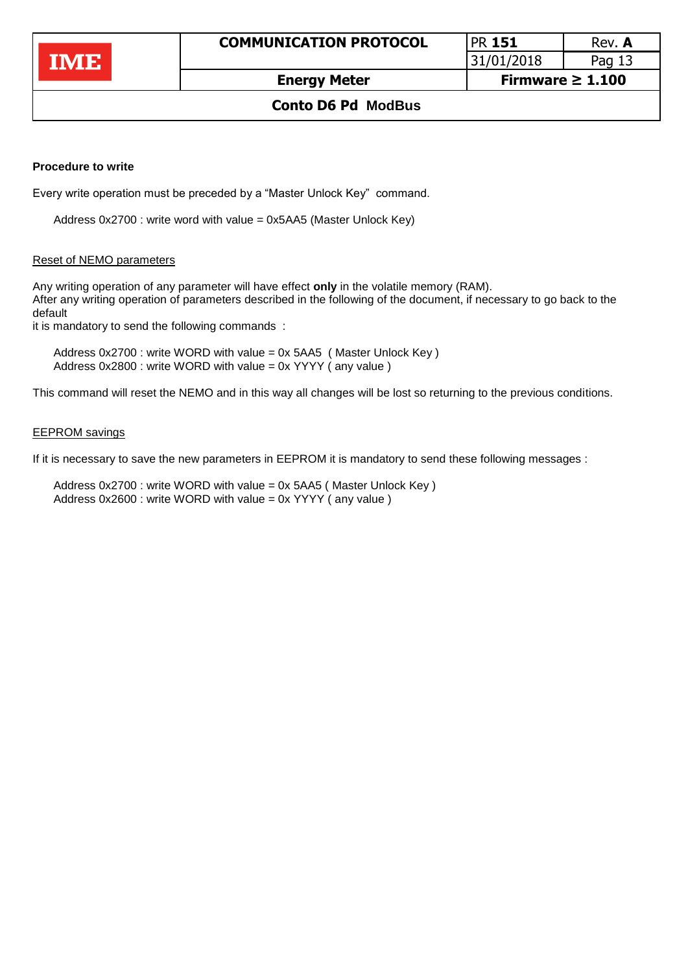31/01/2018 Pag 13

## **Conto D6 Pd ModBus**

#### **Procedure to write**

Every write operation must be preceded by a "Master Unlock Key" command.

Address 0x2700 : write word with value = 0x5AA5 (Master Unlock Key)

### Reset of NEMO parameters

Any writing operation of any parameter will have effect **only** in the volatile memory (RAM). After any writing operation of parameters described in the following of the document, if necessary to go back to the default

it is mandatory to send the following commands :

Address 0x2700 : write WORD with value = 0x 5AA5 ( Master Unlock Key ) Address 0x2800 : write WORD with value = 0x YYYY ( any value )

This command will reset the NEMO and in this way all changes will be lost so returning to the previous conditions.

#### EEPROM savings

If it is necessary to save the new parameters in EEPROM it is mandatory to send these following messages :

Address 0x2700 : write WORD with value = 0x 5AA5 ( Master Unlock Key ) Address 0x2600 : write WORD with value = 0x YYYY ( any value )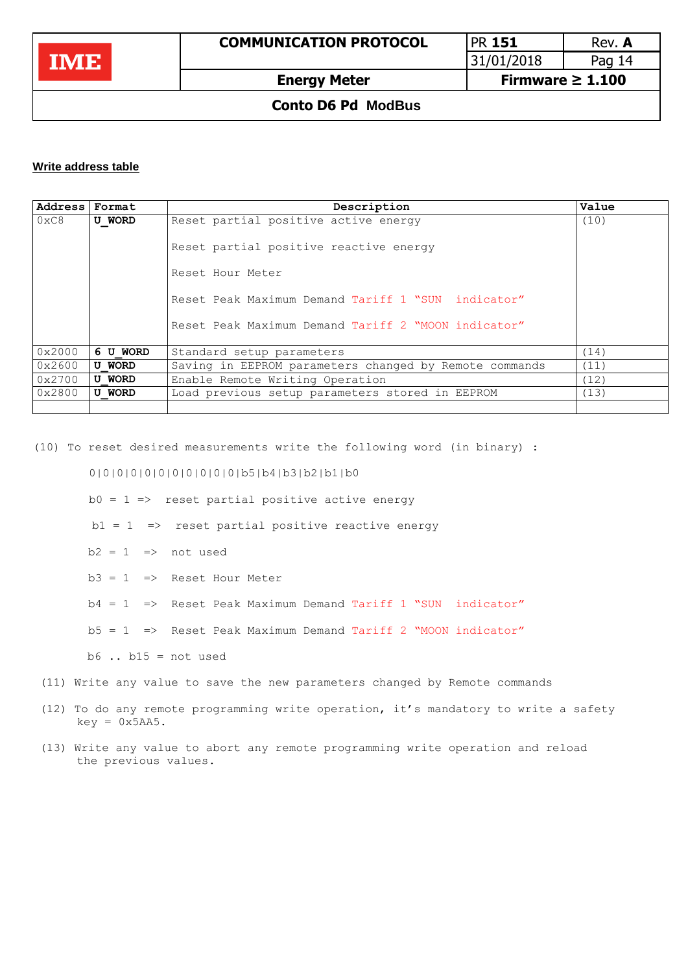

| <b>PR 151</b> | Rev. A |
|---------------|--------|
| 31/01/2018    | Pag 14 |
|               |        |

### **Conto D6 Pd ModBus**

#### **Write address table**

| Address | Format        | Description                                            | Value |
|---------|---------------|--------------------------------------------------------|-------|
| 0xC8    | <b>U WORD</b> | Reset partial positive active energy                   | (10)  |
|         |               | Reset partial positive reactive energy                 |       |
|         |               | Reset Hour Meter                                       |       |
|         |               | Reset Peak Maximum Demand Tariff 1 "SUN indicator"     |       |
|         |               | Reset Peak Maximum Demand Tariff 2 "MOON indicator"    |       |
| 0x2000  | 6 U WORD      | Standard setup parameters                              | (14)  |
| 0x2600  | <b>U WORD</b> | Saving in EEPROM parameters changed by Remote commands | (11)  |
| 0x2700  | <b>U WORD</b> | Enable Remote Writing Operation                        | (12)  |
| 0x2800  | <b>U WORD</b> | Load previous setup parameters stored in EEPROM        | (13)  |
|         |               |                                                        |       |

(10) To reset desired measurements write the following word (in binary) :

#### 0|0|0|0|0|0|0|0|0|0|0|b5|b4|b3|b2|b1|b0

 $b0 = 1 \Rightarrow$  reset partial positive active energy

 $b1 = 1$  => reset partial positive reactive energy

- $b2 = 1$  => not used
- $b3 = 1$  => Reset Hour Meter
- b4 = 1 => Reset Peak Maximum Demand Tariff 1 "SUN indicator"
- $b5 = 1$  => Reset Peak Maximum Demand Tariff 2 "MOON indicator"

 $b6$  ..  $b15$  = not used

- (11) Write any value to save the new parameters changed by Remote commands
- (12) To do any remote programming write operation, it's mandatory to write a safety  $key = 0x5AA5$ .
- (13) Write any value to abort any remote programming write operation and reload the previous values.